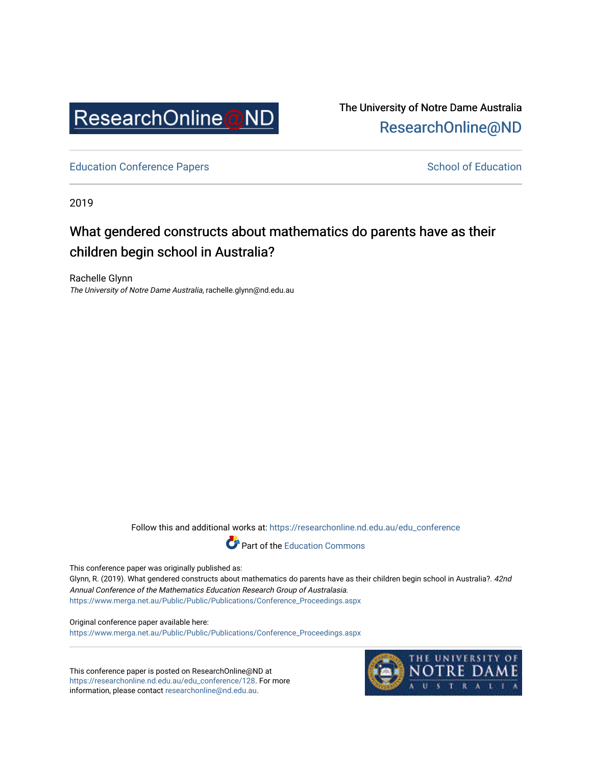

The University of Notre Dame Australia [ResearchOnline@ND](https://researchonline.nd.edu.au/) 

[Education Conference Papers](https://researchonline.nd.edu.au/edu_conference) **School of Education** School of Education

2019

# What gendered constructs about mathematics do parents have as their children begin school in Australia?

Rachelle Glynn The University of Notre Dame Australia, rachelle.glynn@nd.edu.au

Follow this and additional works at: [https://researchonline.nd.edu.au/edu\\_conference](https://researchonline.nd.edu.au/edu_conference?utm_source=researchonline.nd.edu.au%2Fedu_conference%2F128&utm_medium=PDF&utm_campaign=PDFCoverPages)



This conference paper was originally published as:

Glynn, R. (2019). What gendered constructs about mathematics do parents have as their children begin school in Australia?. 42nd Annual Conference of the Mathematics Education Research Group of Australasia. [https://www.merga.net.au/Public/Public/Publications/Conference\\_Proceedings.aspx](https://www.merga.net.au/Public/Public/Publications/Conference_Proceedings.aspx) 

Original conference paper available here: [https://www.merga.net.au/Public/Public/Publications/Conference\\_Proceedings.aspx](https://www.merga.net.au/Public/Public/Publications/Conference_Proceedings.aspx) 

This conference paper is posted on ResearchOnline@ND at [https://researchonline.nd.edu.au/edu\\_conference/128](https://researchonline.nd.edu.au/edu_conference/128). For more information, please contact [researchonline@nd.edu.au.](mailto:researchonline@nd.edu.au)

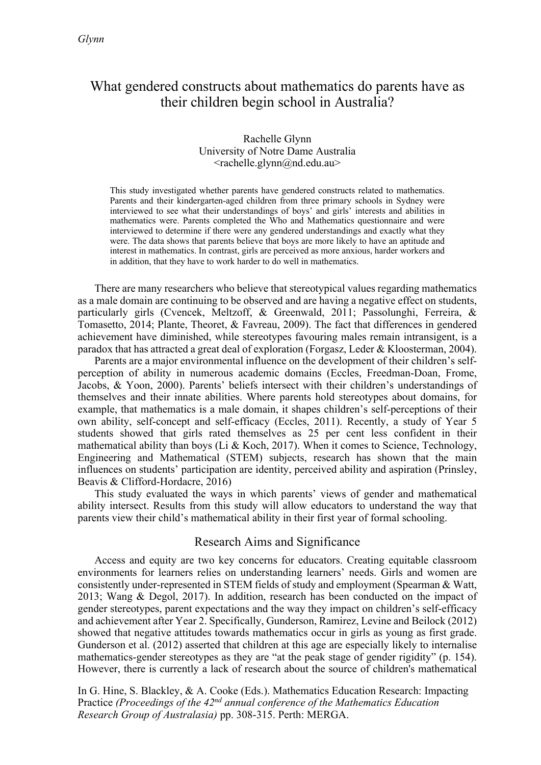## What gendered constructs about mathematics do parents have as their children begin school in Australia?

## Rachelle Glynn University of Notre Dame Australia <rachelle.glynn@nd.edu.au>

This study investigated whether parents have gendered constructs related to mathematics. Parents and their kindergarten-aged children from three primary schools in Sydney were interviewed to see what their understandings of boys' and girls' interests and abilities in mathematics were. Parents completed the Who and Mathematics questionnaire and were interviewed to determine if there were any gendered understandings and exactly what they were. The data shows that parents believe that boys are more likely to have an aptitude and interest in mathematics. In contrast, girls are perceived as more anxious, harder workers and in addition, that they have to work harder to do well in mathematics.

There are many researchers who believe that stereotypical values regarding mathematics as a male domain are continuing to be observed and are having a negative effect on students, particularly girls (Cvencek, Meltzoff, & Greenwald, 2011; Passolunghi, Ferreira, & Tomasetto, 2014; Plante, Theoret, & Favreau, 2009). The fact that differences in gendered achievement have diminished, while stereotypes favouring males remain intransigent, is a paradox that has attracted a great deal of exploration (Forgasz, Leder & Kloosterman, 2004).

Parents are a major environmental influence on the development of their children's selfperception of ability in numerous academic domains (Eccles, Freedman-Doan, Frome, Jacobs, & Yoon, 2000). Parents' beliefs intersect with their children's understandings of themselves and their innate abilities. Where parents hold stereotypes about domains, for example, that mathematics is a male domain, it shapes children's self-perceptions of their own ability, self-concept and self-efficacy (Eccles, 2011). Recently, a study of Year 5 students showed that girls rated themselves as 25 per cent less confident in their mathematical ability than boys (Li & Koch, 2017). When it comes to Science, Technology, Engineering and Mathematical (STEM) subjects, research has shown that the main influences on students' participation are identity, perceived ability and aspiration (Prinsley, Beavis & Clifford-Hordacre, 2016)

This study evaluated the ways in which parents' views of gender and mathematical ability intersect. Results from this study will allow educators to understand the way that parents view their child's mathematical ability in their first year of formal schooling.

## Research Aims and Significance

Access and equity are two key concerns for educators. Creating equitable classroom environments for learners relies on understanding learners' needs. Girls and women are consistently under-represented in STEM fields of study and employment (Spearman & Watt, 2013; Wang & Degol, 2017). In addition, research has been conducted on the impact of gender stereotypes, parent expectations and the way they impact on children's self-efficacy and achievement after Year 2. Specifically, Gunderson, Ramirez, Levine and Beilock (2012) showed that negative attitudes towards mathematics occur in girls as young as first grade. Gunderson et al. (2012) asserted that children at this age are especially likely to internalise mathematics-gender stereotypes as they are "at the peak stage of gender rigidity" (p. 154). However, there is currently a lack of research about the source of children's mathematical

In G. Hine, S. Blackley, & A. Cooke (Eds.). Mathematics Education Research: Impacting Practice *(Proceedings of the 42nd annual conference of the Mathematics Education Research Group of Australasia)* pp. 308-315. Perth: MERGA.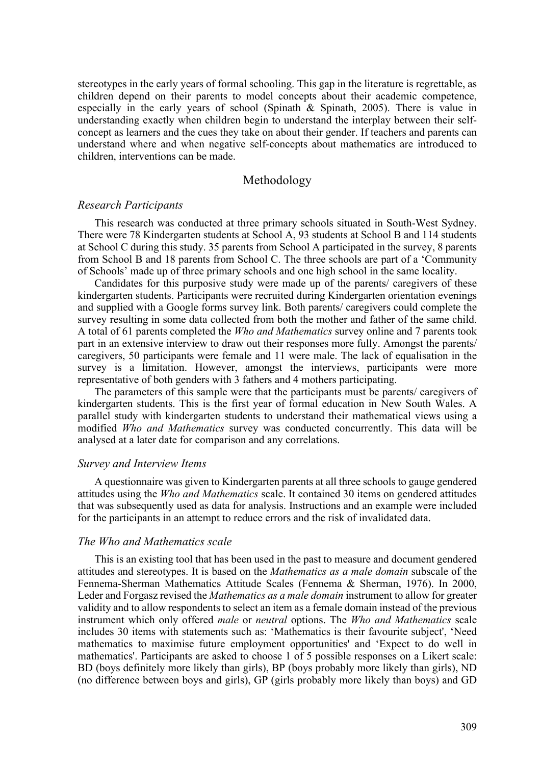stereotypes in the early years of formal schooling. This gap in the literature is regrettable, as children depend on their parents to model concepts about their academic competence, especially in the early years of school (Spinath & Spinath, 2005). There is value in understanding exactly when children begin to understand the interplay between their selfconcept as learners and the cues they take on about their gender. If teachers and parents can understand where and when negative self-concepts about mathematics are introduced to children, interventions can be made.

#### Methodology

#### *Research Participants*

This research was conducted at three primary schools situated in South-West Sydney. There were 78 Kindergarten students at School A, 93 students at School B and 114 students at School C during this study. 35 parents from School A participated in the survey, 8 parents from School B and 18 parents from School C. The three schools are part of a 'Community of Schools' made up of three primary schools and one high school in the same locality.

Candidates for this purposive study were made up of the parents/ caregivers of these kindergarten students. Participants were recruited during Kindergarten orientation evenings and supplied with a Google forms survey link. Both parents/ caregivers could complete the survey resulting in some data collected from both the mother and father of the same child. A total of 61 parents completed the *Who and Mathematics* survey online and 7 parents took part in an extensive interview to draw out their responses more fully. Amongst the parents/ caregivers, 50 participants were female and 11 were male. The lack of equalisation in the survey is a limitation. However, amongst the interviews, participants were more representative of both genders with 3 fathers and 4 mothers participating.

The parameters of this sample were that the participants must be parents/ caregivers of kindergarten students. This is the first year of formal education in New South Wales. A parallel study with kindergarten students to understand their mathematical views using a modified *Who and Mathematics* survey was conducted concurrently. This data will be analysed at a later date for comparison and any correlations.

#### *Survey and Interview Items*

A questionnaire was given to Kindergarten parents at all three schools to gauge gendered attitudes using the *Who and Mathematics* scale. It contained 30 items on gendered attitudes that was subsequently used as data for analysis. Instructions and an example were included for the participants in an attempt to reduce errors and the risk of invalidated data.

#### *The Who and Mathematics scale*

This is an existing tool that has been used in the past to measure and document gendered attitudes and stereotypes. It is based on the *Mathematics as a male domain* subscale of the Fennema-Sherman Mathematics Attitude Scales (Fennema & Sherman, 1976). In 2000, Leder and Forgasz revised the *Mathematics as a male domain* instrument to allow for greater validity and to allow respondents to select an item as a female domain instead of the previous instrument which only offered *male* or *neutral* options. The *Who and Mathematics* scale includes 30 items with statements such as: 'Mathematics is their favourite subject', 'Need mathematics to maximise future employment opportunities' and 'Expect to do well in mathematics'. Participants are asked to choose 1 of 5 possible responses on a Likert scale: BD (boys definitely more likely than girls), BP (boys probably more likely than girls), ND (no difference between boys and girls), GP (girls probably more likely than boys) and GD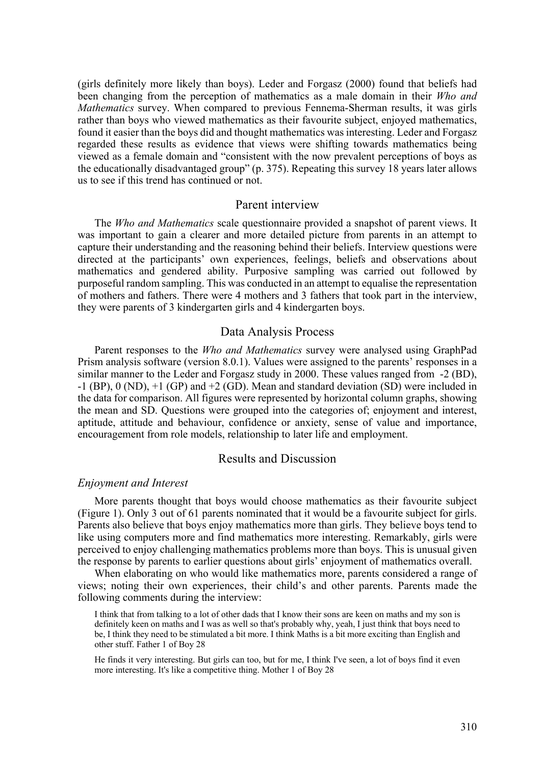(girls definitely more likely than boys). Leder and Forgasz (2000) found that beliefs had been changing from the perception of mathematics as a male domain in their *Who and Mathematics* survey. When compared to previous Fennema-Sherman results, it was girls rather than boys who viewed mathematics as their favourite subject, enjoyed mathematics, found it easier than the boys did and thought mathematics was interesting. Leder and Forgasz regarded these results as evidence that views were shifting towards mathematics being viewed as a female domain and "consistent with the now prevalent perceptions of boys as the educationally disadvantaged group" (p. 375). Repeating this survey 18 years later allows us to see if this trend has continued or not.

## Parent interview

The *Who and Mathematics* scale questionnaire provided a snapshot of parent views. It was important to gain a clearer and more detailed picture from parents in an attempt to capture their understanding and the reasoning behind their beliefs. Interview questions were directed at the participants' own experiences, feelings, beliefs and observations about mathematics and gendered ability. Purposive sampling was carried out followed by purposeful random sampling. This was conducted in an attempt to equalise the representation of mothers and fathers. There were 4 mothers and 3 fathers that took part in the interview, they were parents of 3 kindergarten girls and 4 kindergarten boys.

#### Data Analysis Process

Parent responses to the *Who and Mathematics* survey were analysed using GraphPad Prism analysis software (version 8.0.1). Values were assigned to the parents' responses in a similar manner to the Leder and Forgasz study in 2000. These values ranged from -2 (BD),  $-1$  (BP), 0 (ND),  $+1$  (GP) and  $+2$  (GD). Mean and standard deviation (SD) were included in the data for comparison. All figures were represented by horizontal column graphs, showing the mean and SD. Questions were grouped into the categories of; enjoyment and interest, aptitude, attitude and behaviour, confidence or anxiety, sense of value and importance, encouragement from role models, relationship to later life and employment.

## Results and Discussion

#### *Enjoyment and Interest*

More parents thought that boys would choose mathematics as their favourite subject (Figure 1). Only 3 out of 61 parents nominated that it would be a favourite subject for girls. Parents also believe that boys enjoy mathematics more than girls. They believe boys tend to like using computers more and find mathematics more interesting. Remarkably, girls were perceived to enjoy challenging mathematics problems more than boys. This is unusual given the response by parents to earlier questions about girls' enjoyment of mathematics overall.

When elaborating on who would like mathematics more, parents considered a range of views; noting their own experiences, their child's and other parents. Parents made the following comments during the interview:

I think that from talking to a lot of other dads that I know their sons are keen on maths and my son is definitely keen on maths and I was as well so that's probably why, yeah, I just think that boys need to be, I think they need to be stimulated a bit more. I think Maths is a bit more exciting than English and other stuff. Father 1 of Boy 28

He finds it very interesting. But girls can too, but for me, I think I've seen, a lot of boys find it even more interesting. It's like a competitive thing. Mother 1 of Boy 28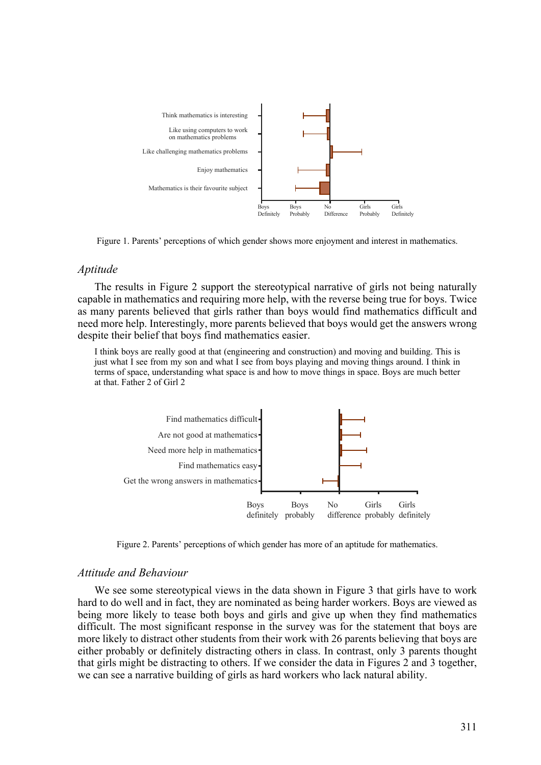

Figure 1. Parents' perceptions of which gender shows more enjoyment and interest in mathematics.

#### *Aptitude*

The results in Figure 2 support the stereotypical narrative of girls not being naturally capable in mathematics and requiring more help, with the reverse being true for boys. Twice as many parents believed that girls rather than boys would find mathematics difficult and need more help. Interestingly, more parents believed that boys would get the answers wrong despite their belief that boys find mathematics easier.

I think boys are really good at that (engineering and construction) and moving and building. This is just what I see from my son and what I see from boys playing and moving things around. I think in terms of space, understanding what space is and how to move things in space. Boys are much better at that. Father 2 of Girl 2



Figure 2. Parents' perceptions of which gender has more of an aptitude for mathematics.

## *Attitude and Behaviour*

We see some stereotypical views in the data shown in Figure 3 that girls have to work hard to do well and in fact, they are nominated as being harder workers. Boys are viewed as being more likely to tease both boys and girls and give up when they find mathematics difficult. The most significant response in the survey was for the statement that boys are more likely to distract other students from their work with 26 parents believing that boys are either probably or definitely distracting others in class. In contrast, only 3 parents thought that girls might be distracting to others. If we consider the data in Figures 2 and 3 together, we can see a narrative building of girls as hard workers who lack natural ability.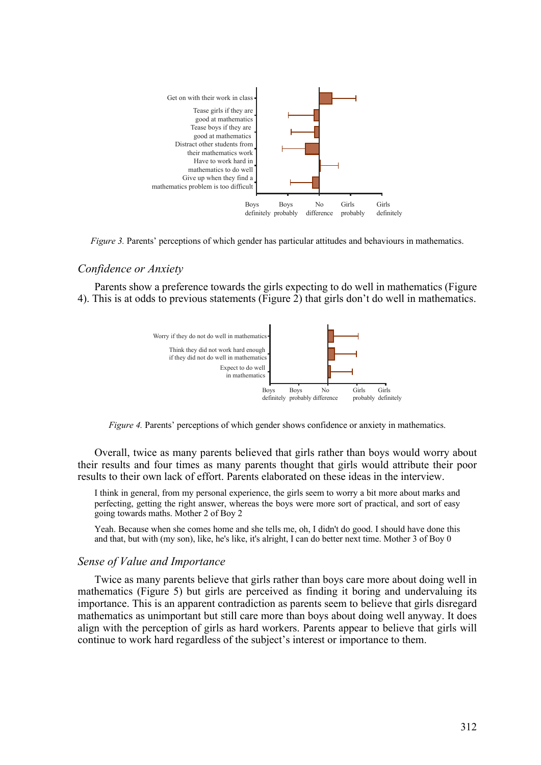

*Figure 3.* Parents' perceptions of which gender has particular attitudes and behaviours in mathematics.

## *Confidence or Anxiety*

Parents show a preference towards the girls expecting to do well in mathematics (Figure 4). This is at odds to previous statements (Figure 2) that girls don't do well in mathematics.



*Figure 4.* Parents' perceptions of which gender shows confidence or anxiety in mathematics.

Overall, twice as many parents believed that girls rather than boys would worry about their results and four times as many parents thought that girls would attribute their poor results to their own lack of effort. Parents elaborated on these ideas in the interview.

I think in general, from my personal experience, the girls seem to worry a bit more about marks and perfecting, getting the right answer, whereas the boys were more sort of practical, and sort of easy going towards maths. Mother 2 of Boy 2

Yeah. Because when she comes home and she tells me, oh, I didn't do good. I should have done this and that, but with (my son), like, he's like, it's alright, I can do better next time. Mother 3 of Boy 0

## *Sense of Value and Importance*

Twice as many parents believe that girls rather than boys care more about doing well in mathematics (Figure 5) but girls are perceived as finding it boring and undervaluing its importance. This is an apparent contradiction as parents seem to believe that girls disregard mathematics as unimportant but still care more than boys about doing well anyway. It does align with the perception of girls as hard workers. Parents appear to believe that girls will continue to work hard regardless of the subject's interest or importance to them.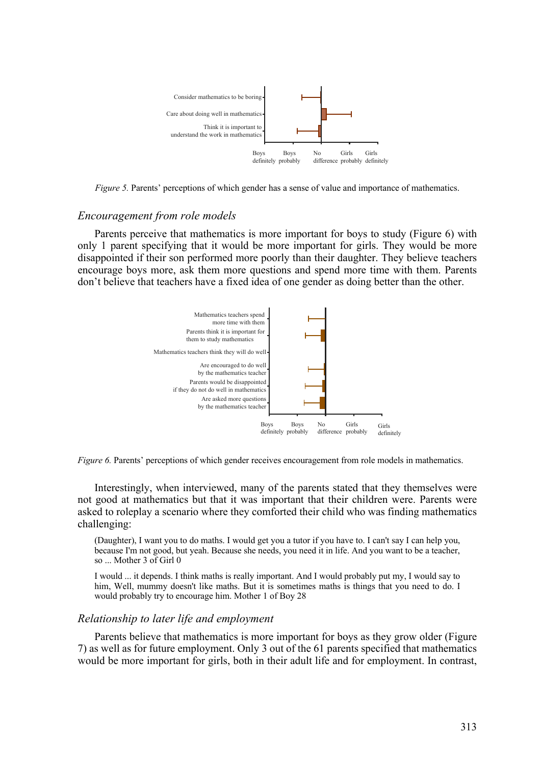

*Figure 5.* Parents' perceptions of which gender has a sense of value and importance of mathematics.

#### *Encouragement from role models*

Parents perceive that mathematics is more important for boys to study (Figure 6) with only 1 parent specifying that it would be more important for girls. They would be more disappointed if their son performed more poorly than their daughter. They believe teachers encourage boys more, ask them more questions and spend more time with them. Parents don't believe that teachers have a fixed idea of one gender as doing better than the other.



*Figure 6.* Parents' perceptions of which gender receives encouragement from role models in mathematics.

Interestingly, when interviewed, many of the parents stated that they themselves were not good at mathematics but that it was important that their children were. Parents were asked to roleplay a scenario where they comforted their child who was finding mathematics challenging:

(Daughter), I want you to do maths. I would get you a tutor if you have to. I can't say I can help you, because I'm not good, but yeah. Because she needs, you need it in life. And you want to be a teacher, so ... Mother 3 of Girl 0

I would ... it depends. I think maths is really important. And I would probably put my, I would say to him, Well, mummy doesn't like maths. But it is sometimes maths is things that you need to do. I would probably try to encourage him. Mother 1 of Boy 28

#### *Relationship to later life and employment*

Parents believe that mathematics is more important for boys as they grow older (Figure 7) as well as for future employment. Only 3 out of the 61 parents specified that mathematics would be more important for girls, both in their adult life and for employment. In contrast,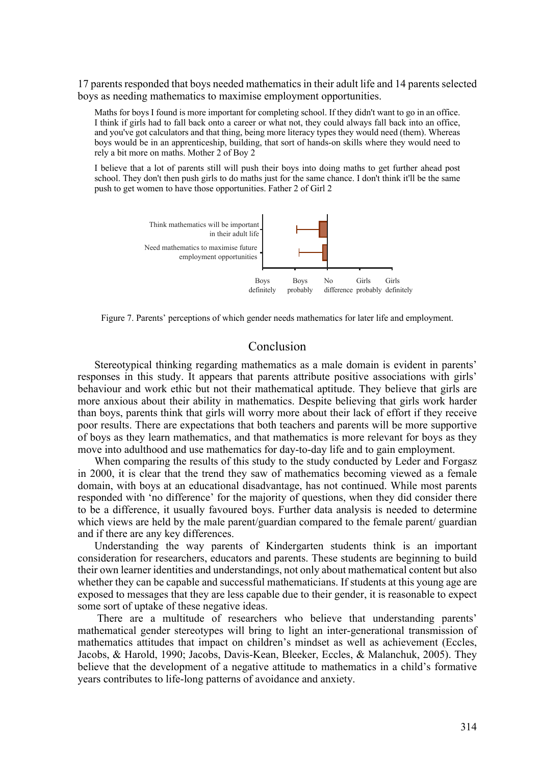17 parents responded that boys needed mathematics in their adult life and 14 parents selected boys as needing mathematics to maximise employment opportunities.

Maths for boys I found is more important for completing school. If they didn't want to go in an office. I think if girls had to fall back onto a career or what not, they could always fall back into an office, and you've got calculators and that thing, being more literacy types they would need (them). Whereas boys would be in an apprenticeship, building, that sort of hands-on skills where they would need to rely a bit more on maths. Mother 2 of Boy 2

I believe that a lot of parents still will push their boys into doing maths to get further ahead post school. They don't then push girls to do maths just for the same chance. I don't think it'll be the same push to get women to have those opportunities. Father 2 of Girl 2



Figure 7. Parents' perceptions of which gender needs mathematics for later life and employment.

## Conclusion

Stereotypical thinking regarding mathematics as a male domain is evident in parents' responses in this study. It appears that parents attribute positive associations with girls' behaviour and work ethic but not their mathematical aptitude. They believe that girls are more anxious about their ability in mathematics. Despite believing that girls work harder than boys, parents think that girls will worry more about their lack of effort if they receive poor results. There are expectations that both teachers and parents will be more supportive of boys as they learn mathematics, and that mathematics is more relevant for boys as they move into adulthood and use mathematics for day-to-day life and to gain employment.

When comparing the results of this study to the study conducted by Leder and Forgasz in 2000, it is clear that the trend they saw of mathematics becoming viewed as a female domain, with boys at an educational disadvantage, has not continued. While most parents responded with 'no difference' for the majority of questions, when they did consider there to be a difference, it usually favoured boys. Further data analysis is needed to determine which views are held by the male parent/guardian compared to the female parent/guardian and if there are any key differences.

Understanding the way parents of Kindergarten students think is an important consideration for researchers, educators and parents. These students are beginning to build their own learner identities and understandings, not only about mathematical content but also whether they can be capable and successful mathematicians. If students at this young age are exposed to messages that they are less capable due to their gender, it is reasonable to expect some sort of uptake of these negative ideas.

There are a multitude of researchers who believe that understanding parents' mathematical gender stereotypes will bring to light an inter-generational transmission of mathematics attitudes that impact on children's mindset as well as achievement (Eccles, Jacobs, & Harold, 1990; Jacobs, Davis-Kean, Bleeker, Eccles, & Malanchuk, 2005). They believe that the development of a negative attitude to mathematics in a child's formative years contributes to life-long patterns of avoidance and anxiety.